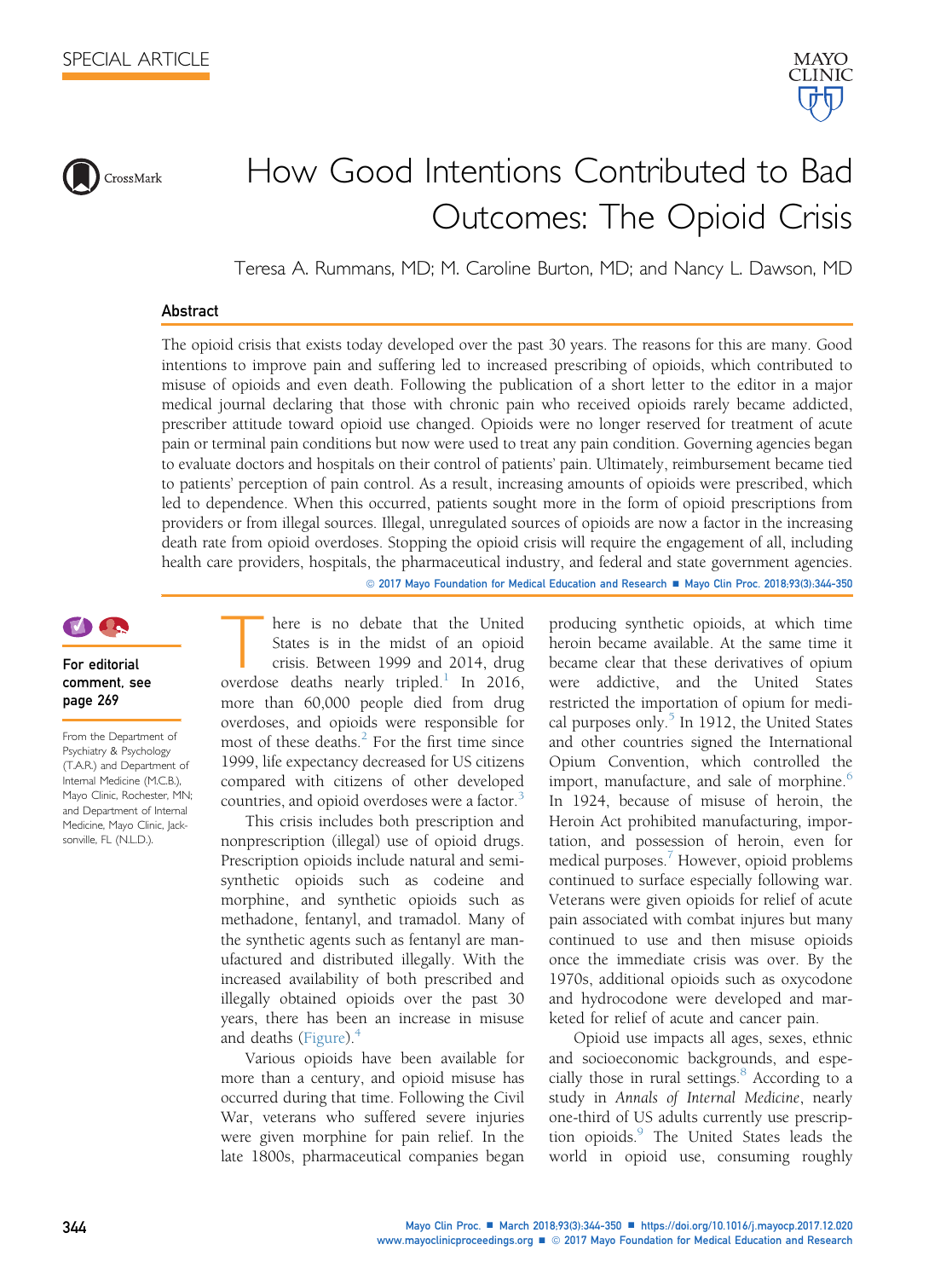



Teresa A. Rummans, MD; M. Caroline Burton, MD; and Nancy L. Dawson, MD

#### Abstract

The opioid crisis that exists today developed over the past 30 years. The reasons for this are many. Good intentions to improve pain and suffering led to increased prescribing of opioids, which contributed to misuse of opioids and even death. Following the publication of a short letter to the editor in a major medical journal declaring that those with chronic pain who received opioids rarely became addicted, prescriber attitude toward opioid use changed. Opioids were no longer reserved for treatment of acute pain or terminal pain conditions but now were used to treat any pain condition. Governing agencies began to evaluate doctors and hospitals on their control of patients' pain. Ultimately, reimbursement became tied to patients' perception of pain control. As a result, increasing amounts of opioids were prescribed, which led to dependence. When this occurred, patients sought more in the form of opioid prescriptions from providers or from illegal sources. Illegal, unregulated sources of opioids are now a factor in the increasing death rate from opioid overdoses. Stopping the opioid crisis will require the engagement of all, including health care providers, hospitals, the pharmaceutical industry, and federal and state government agencies.

© 2017 Mayo Foundation for Medical Education and Research ■ Mayo Clin Proc. 2018;93(3):344-350

# **TAGA**

## For editorial comment, see page 269

From the Department of Psychiatry & Psychology (T.A.R.) and Department of Internal Medicine (M.C.B.), Mayo Clinic, Rochester, MN; and Department of Internal Medicine, Mayo Clinic, Jacksonville, FL (N.L.D.).

here is no debate that the United<br>States is in the midst of an opioid<br>crisis. Between [1](#page-5-0)999 and 2014, drug<br>overdose deaths nearly tripled.<sup>1</sup> In 2016, States is in the midst of an opioid crisis. Between 1999 and 2014, drug more than 60,000 people died from drug overdoses, and opioids were responsible for most of these deaths. $\frac{2}{3}$  $\frac{2}{3}$  $\frac{2}{3}$  For the first time since 1999, life expectancy decreased for US citizens compared with citizens of other developed countries, and opioid overdoses were a factor.<sup>[3](#page-5-0)</sup>

This crisis includes both prescription and nonprescription (illegal) use of opioid drugs. Prescription opioids include natural and semisynthetic opioids such as codeine and morphine, and synthetic opioids such as methadone, fentanyl, and tramadol. Many of the synthetic agents such as fentanyl are manufactured and distributed illegally. With the increased availability of both prescribed and illegally obtained opioids over the past 30 years, there has been an increase in misuse and deaths ([Figure](#page-1-0)). $<sup>4</sup>$  $<sup>4</sup>$  $<sup>4</sup>$ </sup>

Various opioids have been available for more than a century, and opioid misuse has occurred during that time. Following the Civil War, veterans who suffered severe injuries were given morphine for pain relief. In the late 1800s, pharmaceutical companies began producing synthetic opioids, at which time heroin became available. At the same time it became clear that these derivatives of opium were addictive, and the United States restricted the importation of opium for medical purposes only. $5$  In 1912, the United States and other countries signed the International Opium Convention, which controlled the import, manufacture, and sale of morphine.<sup>[6](#page-5-0)</sup> In 1924, because of misuse of heroin, the Heroin Act prohibited manufacturing, importation, and possession of heroin, even for medical purposes.<sup>[7](#page-5-0)</sup> However, opioid problems continued to surface especially following war. Veterans were given opioids for relief of acute pain associated with combat injures but many continued to use and then misuse opioids once the immediate crisis was over. By the 1970s, additional opioids such as oxycodone and hydrocodone were developed and marketed for relief of acute and cancer pain.

MAYO **CLINIC** 

Opioid use impacts all ages, sexes, ethnic and socioeconomic backgrounds, and espe-cially those in rural settings.<sup>[8](#page-5-0)</sup> According to a study in Annals of Internal Medicine, nearly one-third of US adults currently use prescrip-tion opioids.<sup>[9](#page-5-0)</sup> The United States leads the world in opioid use, consuming roughly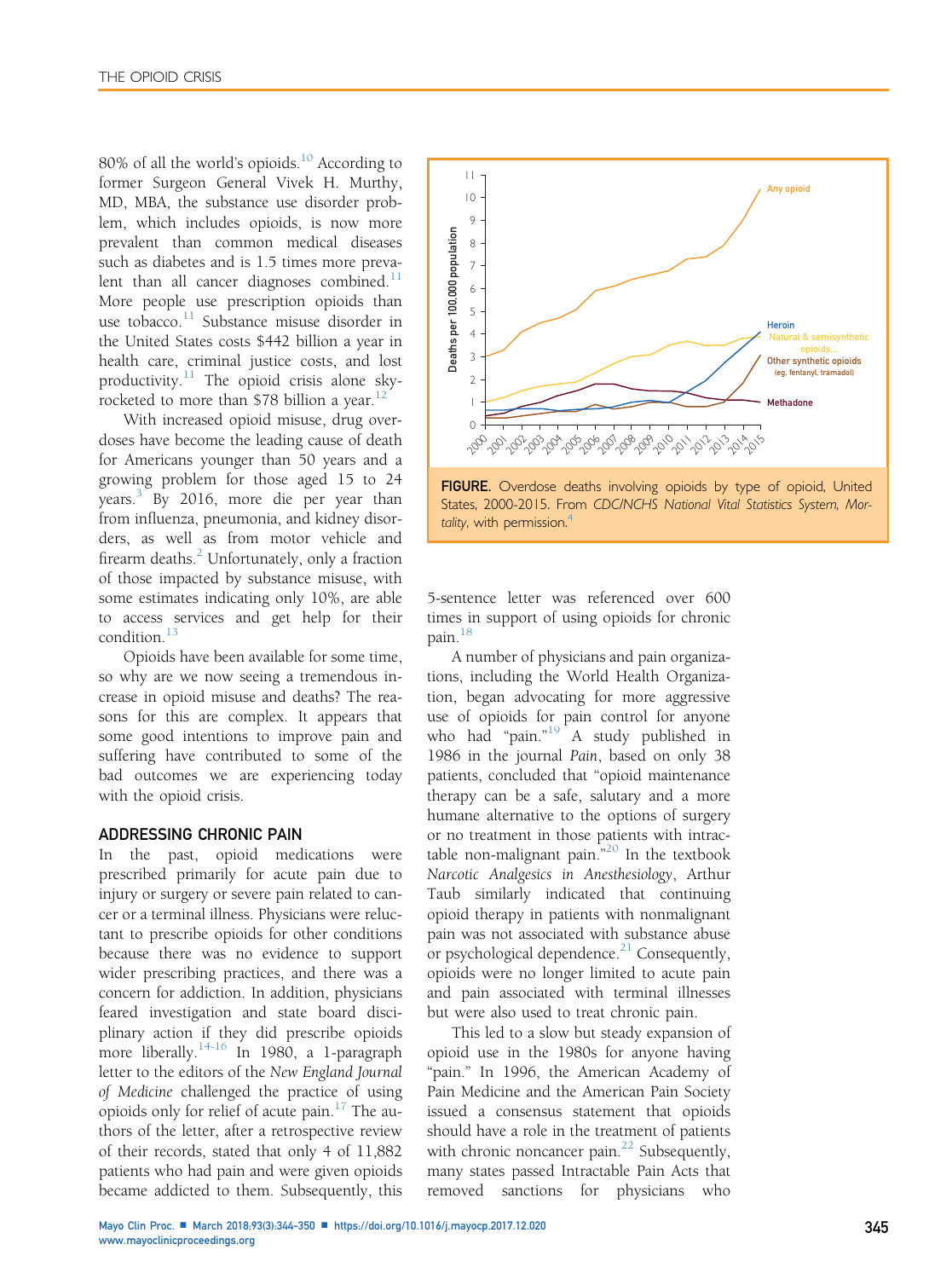<span id="page-1-0"></span>80% of all the world's opioids.<sup>[10](#page-5-0)</sup> According to former Surgeon General Vivek H. Murthy, MD, MBA, the substance use disorder problem, which includes opioids, is now more prevalent than common medical diseases such as diabetes and is 1.5 times more prevalent than all cancer diagnoses combined. $^{11}$  $^{11}$  $^{11}$ More people use prescription opioids than use tobacco. $11$  Substance misuse disorder in the United States costs \$442 billion a year in health care, criminal justice costs, and lost productivity. $11$  The opioid crisis alone sky-rocketed to more than \$78 billion a year.<sup>[12](#page-5-0)</sup>

With increased opioid misuse, drug overdoses have become the leading cause of death for Americans younger than 50 years and a growing problem for those aged 15 to 24 years.<sup>[3](#page-5-0)</sup> By 2016, more die per year than from influenza, pneumonia, and kidney disorders, as well as from motor vehicle and firearm deaths. $^{2}$  $^{2}$  $^{2}$  Unfortunately, only a fraction of those impacted by substance misuse, with some estimates indicating only 10%, are able to access services and get help for their condition.[13](#page-5-0)

Opioids have been available for some time, so why are we now seeing a tremendous increase in opioid misuse and deaths? The reasons for this are complex. It appears that some good intentions to improve pain and suffering have contributed to some of the bad outcomes we are experiencing today with the opioid crisis.

#### ADDRESSING CHRONIC PAIN

In the past, opioid medications were prescribed primarily for acute pain due to injury or surgery or severe pain related to cancer or a terminal illness. Physicians were reluctant to prescribe opioids for other conditions because there was no evidence to support wider prescribing practices, and there was a concern for addiction. In addition, physicians feared investigation and state board disciplinary action if they did prescribe opioids more liberally.<sup>[14-16](#page-5-0)</sup> In 1980, a 1-paragraph letter to the editors of the New England Journal of Medicine challenged the practice of using opioids only for relief of acute pain. $17$  The authors of the letter, after a retrospective review of their records, stated that only 4 of 11,882 patients who had pain and were given opioids became addicted to them. Subsequently, this





5-sentence letter was referenced over 600 times in support of using opioids for chronic pain.<sup>[18](#page-5-0)</sup>

A number of physicians and pain organizations, including the World Health Organization, began advocating for more aggressive use of opioids for pain control for anyone who had "pain." [19](#page-5-0) A study published in 1986 in the journal Pain, based on only 38 patients, concluded that "opioid maintenance therapy can be a safe, salutary and a more humane alternative to the options of surgery or no treatment in those patients with intractable non-malignant pain." [20](#page-5-0) In the textbook Narcotic Analgesics in Anesthesiology, Arthur Taub similarly indicated that continuing opioid therapy in patients with nonmalignant pain was not associated with substance abuse or psychological dependence.<sup>21</sup> Consequently, opioids were no longer limited to acute pain and pain associated with terminal illnesses but were also used to treat chronic pain.

This led to a slow but steady expansion of opioid use in the 1980s for anyone having "pain." In 1996, the American Academy of Pain Medicine and the American Pain Society issued a consensus statement that opioids should have a role in the treatment of patients with chronic noncancer pain. $^{22}$  $^{22}$  $^{22}$  Subsequently, many states passed Intractable Pain Acts that removed sanctions for physicians who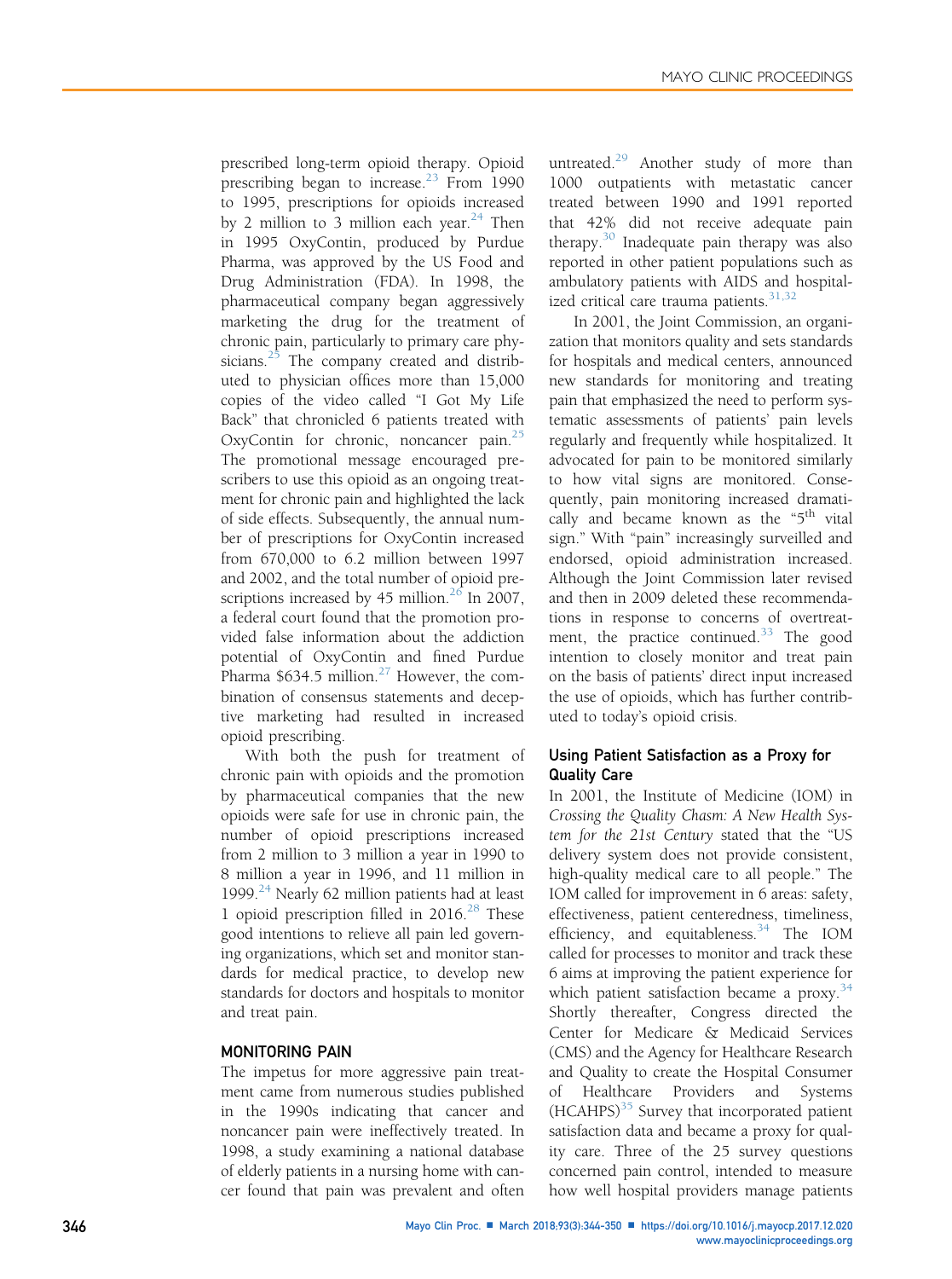prescribed long-term opioid therapy. Opioid prescribing began to increase.<sup>[23](#page-5-0)</sup> From 1990 to 1995, prescriptions for opioids increased by 2 million to 3 million each year. $24$  Then in 1995 OxyContin, produced by Purdue Pharma, was approved by the US Food and Drug Administration (FDA). In 1998, the pharmaceutical company began aggressively marketing the drug for the treatment of chronic pain, particularly to primary care phy-sicians.<sup>[25](#page-6-0)</sup> The company created and distributed to physician offices more than 15,000 copies of the video called "I Got My Life Back" that chronicled 6 patients treated with OxyContin for chronic, noncancer pain.<sup>[25](#page-6-0)</sup> The promotional message encouraged prescribers to use this opioid as an ongoing treatment for chronic pain and highlighted the lack of side effects. Subsequently, the annual number of prescriptions for OxyContin increased from 670,000 to 6.2 million between 1997 and 2002, and the total number of opioid prescriptions increased by 45 million. $26$  In 2007, a federal court found that the promotion provided false information about the addiction potential of OxyContin and fined Purdue Pharma  $$634.5$  million.<sup>27</sup> However, the combination of consensus statements and deceptive marketing had resulted in increased opioid prescribing.

With both the push for treatment of chronic pain with opioids and the promotion by pharmaceutical companies that the new opioids were safe for use in chronic pain, the number of opioid prescriptions increased from 2 million to 3 million a year in 1990 to 8 million a year in 1996, and 11 million in 1999. $^{24}$  $^{24}$  $^{24}$  Nearly 62 million patients had at least 1 opioid prescription filled in  $2016.<sup>28</sup>$  $2016.<sup>28</sup>$  $2016.<sup>28</sup>$  These good intentions to relieve all pain led governing organizations, which set and monitor standards for medical practice, to develop new standards for doctors and hospitals to monitor and treat pain.

#### MONITORING PAIN

The impetus for more aggressive pain treatment came from numerous studies published in the 1990s indicating that cancer and noncancer pain were ineffectively treated. In 1998, a study examining a national database of elderly patients in a nursing home with cancer found that pain was prevalent and often untreated.<sup>[29](#page-6-0)</sup> Another study of more than 1000 outpatients with metastatic cancer treated between 1990 and 1991 reported that 42% did not receive adequate pain therapy.<sup>[30](#page-6-0)</sup> Inadequate pain therapy was also reported in other patient populations such as ambulatory patients with AIDS and hospitalized critical care trauma patients. $31,32$ 

In 2001, the Joint Commission, an organization that monitors quality and sets standards for hospitals and medical centers, announced new standards for monitoring and treating pain that emphasized the need to perform systematic assessments of patients' pain levels regularly and frequently while hospitalized. It advocated for pain to be monitored similarly to how vital signs are monitored. Consequently, pain monitoring increased dramatically and became known as the "5<sup>th</sup> vital sign." With "pain" increasingly surveilled and endorsed, opioid administration increased. Although the Joint Commission later revised and then in 2009 deleted these recommendations in response to concerns of overtreat-ment, the practice continued.<sup>[33](#page-6-0)</sup> The good intention to closely monitor and treat pain on the basis of patients' direct input increased the use of opioids, which has further contributed to today's opioid crisis.

## Using Patient Satisfaction as a Proxy for Quality Care

In 2001, the Institute of Medicine (IOM) in Crossing the Quality Chasm: A New Health System for the 21st Century stated that the "US delivery system does not provide consistent, high-quality medical care to all people." The IOM called for improvement in 6 areas: safety, effectiveness, patient centeredness, timeliness, efficiency, and equitableness.<sup>[34](#page-6-0)</sup> The IOM called for processes to monitor and track these 6 aims at improving the patient experience for which patient satisfaction became a proxy. $34$ Shortly thereafter, Congress directed the Center for Medicare & Medicaid Services (CMS) and the Agency for Healthcare Research and Quality to create the Hospital Consumer of Healthcare Providers and Systems  $(HCAHPS)^{35}$  $(HCAHPS)^{35}$  $(HCAHPS)^{35}$  Survey that incorporated patient satisfaction data and became a proxy for quality care. Three of the 25 survey questions concerned pain control, intended to measure how well hospital providers manage patients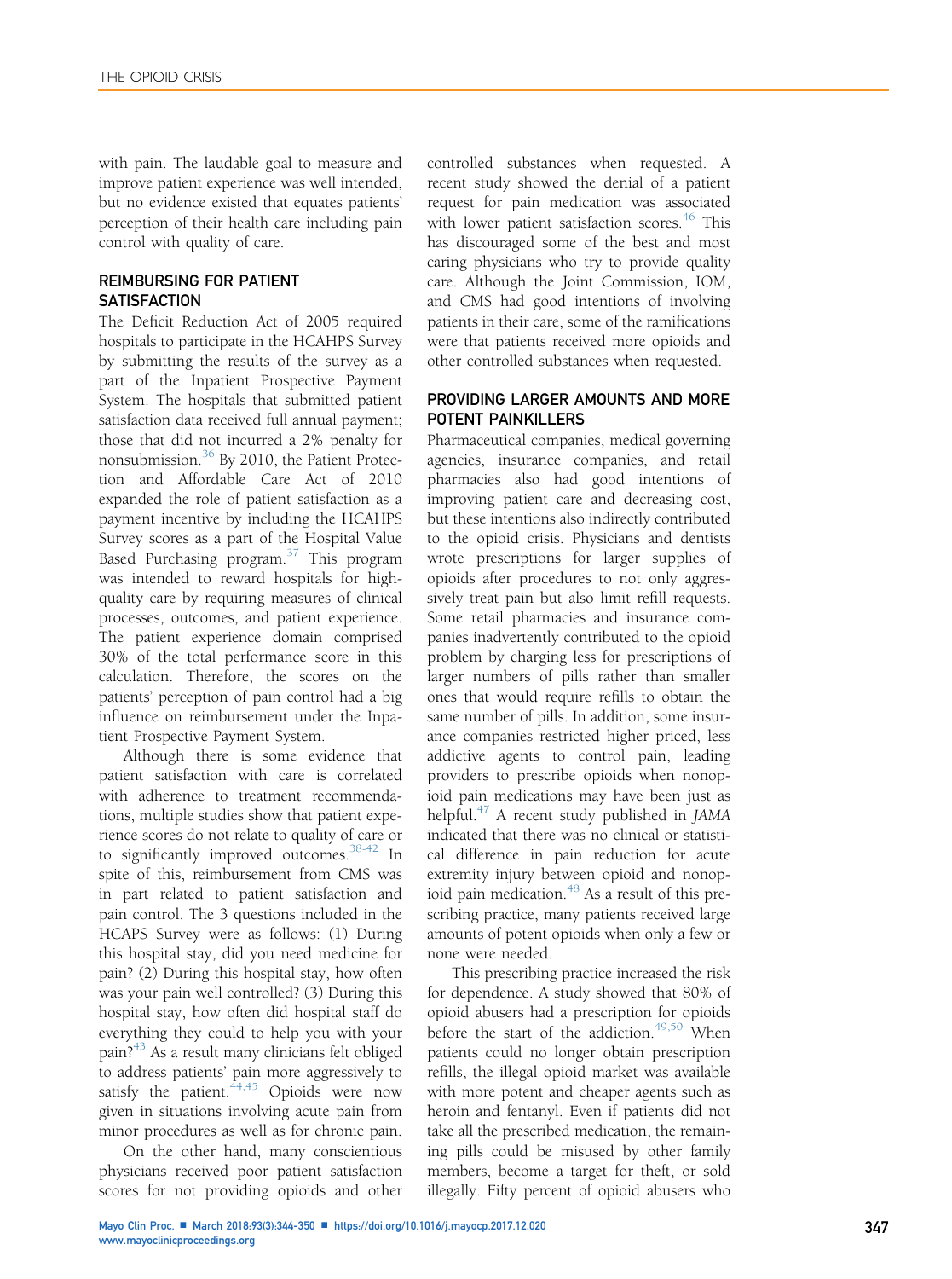with pain. The laudable goal to measure and improve patient experience was well intended, but no evidence existed that equates patients' perception of their health care including pain control with quality of care.

## REIMBURSING FOR PATIENT **SATISFACTION**

The Deficit Reduction Act of 2005 required hospitals to participate in the HCAHPS Survey by submitting the results of the survey as a part of the Inpatient Prospective Payment System. The hospitals that submitted patient satisfaction data received full annual payment; those that did not incurred a 2% penalty for nonsubmission.[36](#page-6-0) By 2010, the Patient Protection and Affordable Care Act of 2010 expanded the role of patient satisfaction as a payment incentive by including the HCAHPS Survey scores as a part of the Hospital Value Based Purchasing program. $37$  This program was intended to reward hospitals for highquality care by requiring measures of clinical processes, outcomes, and patient experience. The patient experience domain comprised 30% of the total performance score in this calculation. Therefore, the scores on the patients' perception of pain control had a big influence on reimbursement under the Inpatient Prospective Payment System.

Although there is some evidence that patient satisfaction with care is correlated with adherence to treatment recommendations, multiple studies show that patient experience scores do not relate to quality of care or to significantly improved outcomes.<sup>[38-42](#page-6-0)</sup> In spite of this, reimbursement from CMS was in part related to patient satisfaction and pain control. The 3 questions included in the HCAPS Survey were as follows: (1) During this hospital stay, did you need medicine for pain? (2) During this hospital stay, how often was your pain well controlled? (3) During this hospital stay, how often did hospital staff do everything they could to help you with your pain?[43](#page-6-0) As a result many clinicians felt obliged to address patients' pain more aggressively to satisfy the patient.  $44,45$  Opioids were now given in situations involving acute pain from minor procedures as well as for chronic pain.

On the other hand, many conscientious physicians received poor patient satisfaction scores for not providing opioids and other

controlled substances when requested. A recent study showed the denial of a patient request for pain medication was associated with lower patient satisfaction scores.<sup>[46](#page-6-0)</sup> This has discouraged some of the best and most caring physicians who try to provide quality care. Although the Joint Commission, IOM, and CMS had good intentions of involving patients in their care, some of the ramifications were that patients received more opioids and other controlled substances when requested.

## PROVIDING LARGER AMOUNTS AND MORE POTENT PAINKILLERS

Pharmaceutical companies, medical governing agencies, insurance companies, and retail pharmacies also had good intentions of improving patient care and decreasing cost, but these intentions also indirectly contributed to the opioid crisis. Physicians and dentists wrote prescriptions for larger supplies of opioids after procedures to not only aggressively treat pain but also limit refill requests. Some retail pharmacies and insurance companies inadvertently contributed to the opioid problem by charging less for prescriptions of larger numbers of pills rather than smaller ones that would require refills to obtain the same number of pills. In addition, some insurance companies restricted higher priced, less addictive agents to control pain, leading providers to prescribe opioids when nonopioid pain medications may have been just as helpful.<sup>[47](#page-6-0)</sup> A recent study published in JAMA indicated that there was no clinical or statistical difference in pain reduction for acute extremity injury between opioid and nonop-ioid pain medication.<sup>[48](#page-6-0)</sup> As a result of this prescribing practice, many patients received large amounts of potent opioids when only a few or none were needed.

This prescribing practice increased the risk for dependence. A study showed that 80% of opioid abusers had a prescription for opioids before the start of the addiction.<sup>[49,50](#page-6-0)</sup> When patients could no longer obtain prescription refills, the illegal opioid market was available with more potent and cheaper agents such as heroin and fentanyl. Even if patients did not take all the prescribed medication, the remaining pills could be misused by other family members, become a target for theft, or sold illegally. Fifty percent of opioid abusers who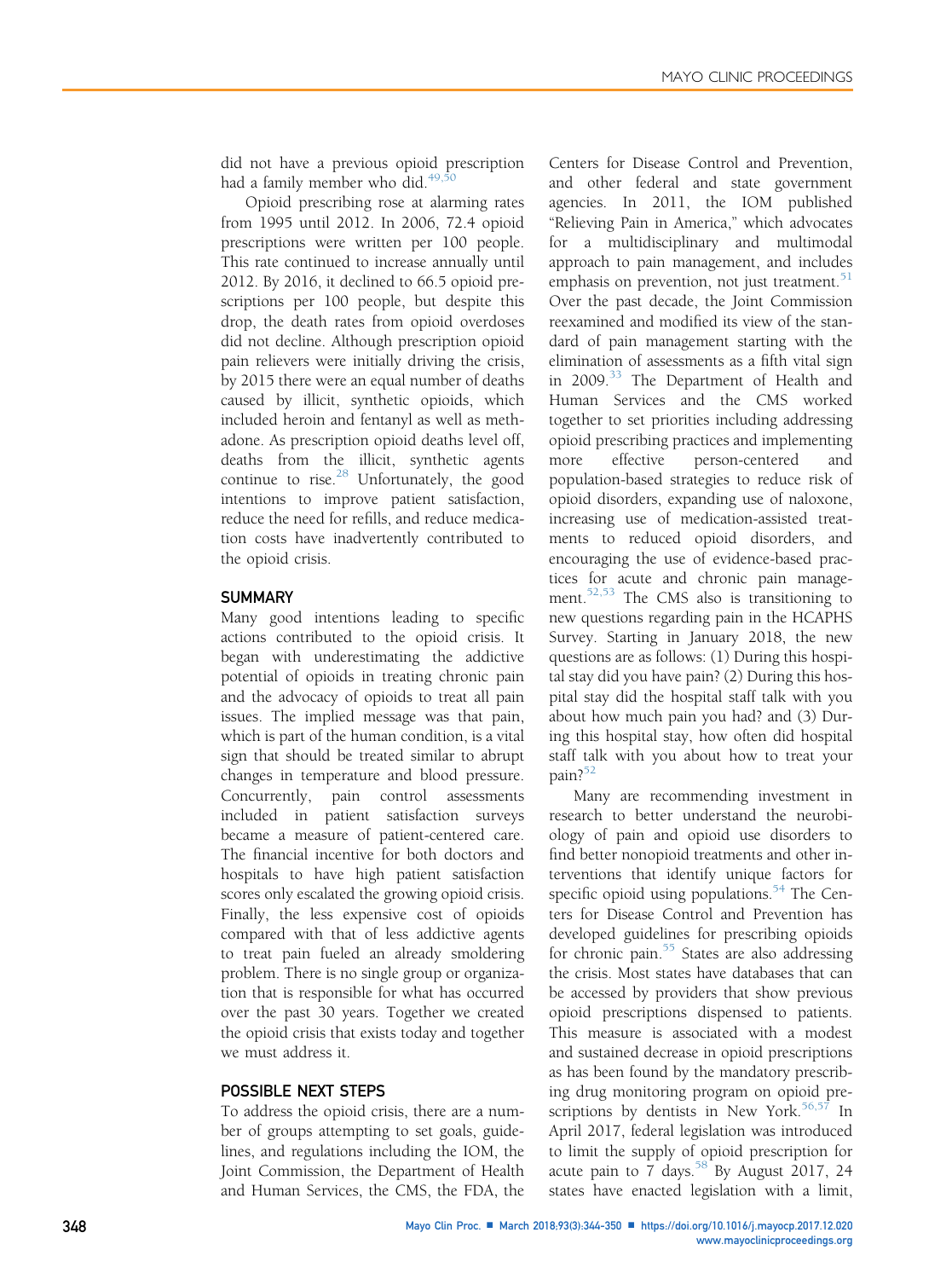did not have a previous opioid prescription had a family member who did. $49,5$ 

Opioid prescribing rose at alarming rates from 1995 until 2012. In 2006, 72.4 opioid prescriptions were written per 100 people. This rate continued to increase annually until 2012. By 2016, it declined to 66.5 opioid prescriptions per 100 people, but despite this drop, the death rates from opioid overdoses did not decline. Although prescription opioid pain relievers were initially driving the crisis, by 2015 there were an equal number of deaths caused by illicit, synthetic opioids, which included heroin and fentanyl as well as methadone. As prescription opioid deaths level off, deaths from the illicit, synthetic agents continue to rise. $28$  Unfortunately, the good intentions to improve patient satisfaction, reduce the need for refills, and reduce medication costs have inadvertently contributed to the opioid crisis.

## **SUMMARY**

Many good intentions leading to specific actions contributed to the opioid crisis. It began with underestimating the addictive potential of opioids in treating chronic pain and the advocacy of opioids to treat all pain issues. The implied message was that pain, which is part of the human condition, is a vital sign that should be treated similar to abrupt changes in temperature and blood pressure. Concurrently, pain control assessments included in patient satisfaction surveys became a measure of patient-centered care. The financial incentive for both doctors and hospitals to have high patient satisfaction scores only escalated the growing opioid crisis. Finally, the less expensive cost of opioids compared with that of less addictive agents to treat pain fueled an already smoldering problem. There is no single group or organization that is responsible for what has occurred over the past 30 years. Together we created the opioid crisis that exists today and together we must address it.

## POSSIBLE NEXT STEPS

To address the opioid crisis, there are a number of groups attempting to set goals, guidelines, and regulations including the IOM, the Joint Commission, the Department of Health and Human Services, the CMS, the FDA, the Centers for Disease Control and Prevention, and other federal and state government agencies. In 2011, the IOM published "Relieving Pain in America," which advocates for a multidisciplinary and multimodal approach to pain management, and includes emphasis on prevention, not just treatment. $51$ Over the past decade, the Joint Commission reexamined and modified its view of the standard of pain management starting with the elimination of assessments as a fifth vital sign in 2009.<sup>[33](#page-6-0)</sup> The Department of Health and Human Services and the CMS worked together to set priorities including addressing opioid prescribing practices and implementing more effective person-centered and population-based strategies to reduce risk of opioid disorders, expanding use of naloxone, increasing use of medication-assisted treatments to reduced opioid disorders, and encouraging the use of evidence-based practices for acute and chronic pain management.<sup>52,53</sup> The CMS also is transitioning to new questions regarding pain in the HCAPHS Survey. Starting in January 2018, the new questions are as follows: (1) During this hospital stay did you have pain? (2) During this hospital stay did the hospital staff talk with you about how much pain you had? and (3) During this hospital stay, how often did hospital staff talk with you about how to treat your pain?<sup>[52](#page-6-0)</sup>

Many are recommending investment in research to better understand the neurobiology of pain and opioid use disorders to find better nonopioid treatments and other interventions that identify unique factors for specific opioid using populations. $54$  The Centers for Disease Control and Prevention has developed guidelines for prescribing opioids for chronic pain. $55$  States are also addressing the crisis. Most states have databases that can be accessed by providers that show previous opioid prescriptions dispensed to patients. This measure is associated with a modest and sustained decrease in opioid prescriptions as has been found by the mandatory prescribing drug monitoring program on opioid prescriptions by dentists in New York. $56,57$  In April 2017, federal legislation was introduced to limit the supply of opioid prescription for acute pain to 7 days.<sup>[58](#page-6-0)</sup> By August 2017, 24 states have enacted legislation with a limit,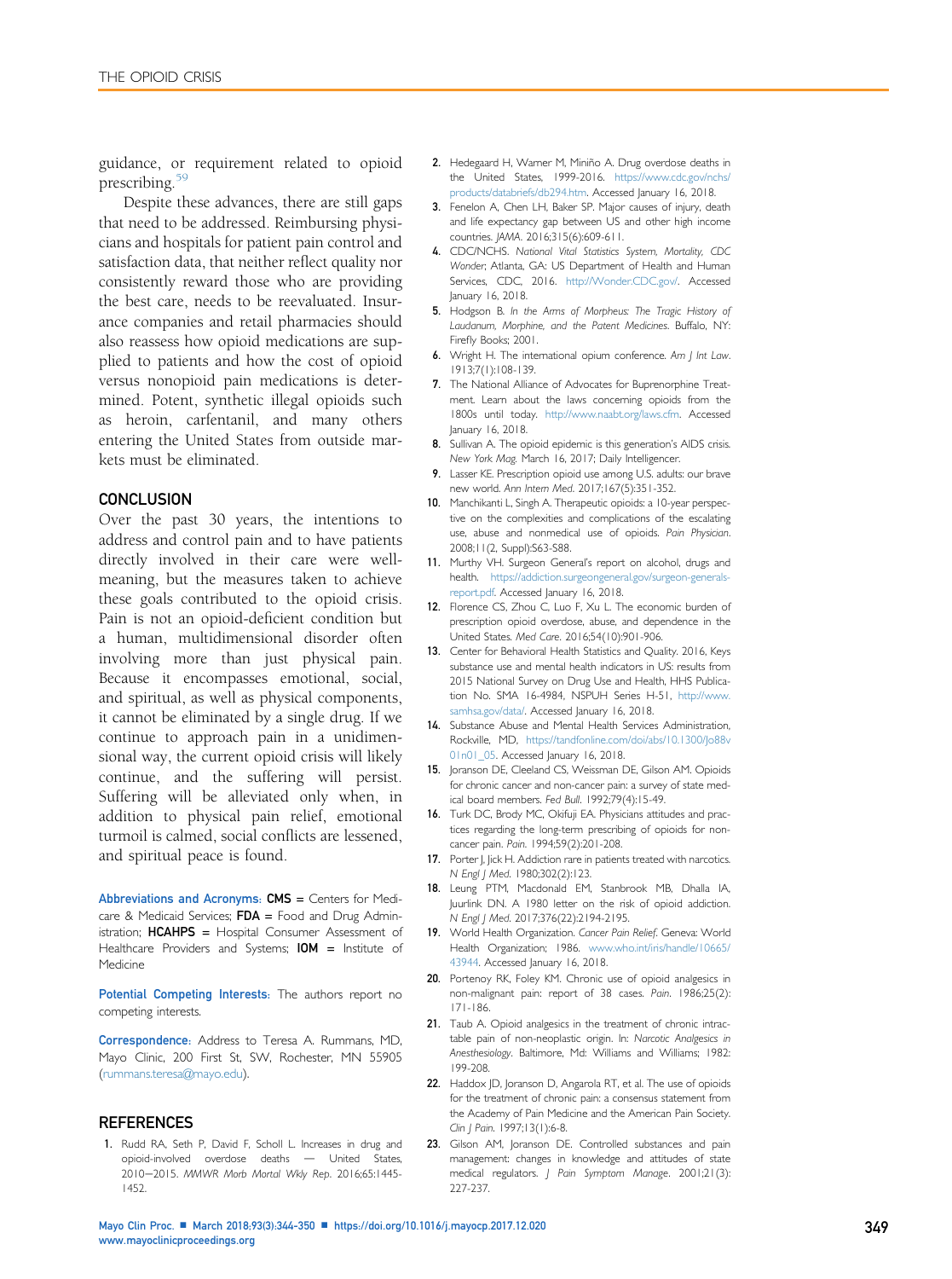<span id="page-5-0"></span>guidance, or requirement related to opioid prescribing.<sup>5</sup>

Despite these advances, there are still gaps that need to be addressed. Reimbursing physicians and hospitals for patient pain control and satisfaction data, that neither reflect quality nor consistently reward those who are providing the best care, needs to be reevaluated. Insurance companies and retail pharmacies should also reassess how opioid medications are supplied to patients and how the cost of opioid versus nonopioid pain medications is determined. Potent, synthetic illegal opioids such as heroin, carfentanil, and many others entering the United States from outside markets must be eliminated.

## **CONCLUSION**

Over the past 30 years, the intentions to address and control pain and to have patients directly involved in their care were wellmeaning, but the measures taken to achieve these goals contributed to the opioid crisis. Pain is not an opioid-deficient condition but a human, multidimensional disorder often involving more than just physical pain. Because it encompasses emotional, social, and spiritual, as well as physical components, it cannot be eliminated by a single drug. If we continue to approach pain in a unidimensional way, the current opioid crisis will likely continue, and the suffering will persist. Suffering will be alleviated only when, in addition to physical pain relief, emotional turmoil is calmed, social conflicts are lessened, and spiritual peace is found.

Abbreviations and Acronyms: CMS = Centers for Medicare & Medicaid Services;  $FDA =$  Food and Drug Administration; HCAHPS = Hospital Consumer Assessment of Healthcare Providers and Systems;  $IOM =$  Institute of Medicine

Potential Competing Interests: The authors report no competing interests.

Correspondence: Address to Teresa A. Rummans, MD, Mayo Clinic, 200 First St, SW, Rochester, MN 55905 [\(rummans.teresa@mayo.edu\)](mailto:rummans.teresa@mayo.edu).

#### **REFERENCES**

1. Rudd RA, Seth P, David F, Scholl L. Increases in drug and opioid-involved overdose deaths - United States, 2010-2015. MMWR Morb Mortal Wkly Rep. 2016;65:1445-1452.

- 2. Hedegaard H, Warner M, Miniño A. Drug overdose deaths in the United States, 1999-2016. [https://www.cdc.gov/nchs/](https://www.cdc.gov/nchs/products/databriefs/db294.htm) [products/databriefs/db294.htm](https://www.cdc.gov/nchs/products/databriefs/db294.htm). Accessed January 16, 2018.
- 3. Fenelon A, Chen LH, Baker SP. Major causes of injury, death and life expectancy gap between US and other high income countries. JAMA. 2016;315(6):609-611.
- 4. CDC/NCHS. National Vital Statistics System, Mortality, CDC Wonder; Atlanta, GA: US Department of Health and Human Services, CDC, 2016. <http://Wonder.CDC.gov/>. Accessed January 16, 2018.
- 5. Hodgson B. In the Arms of Morpheus: The Tragic History of Laudanum, Morphine, and the Patent Medicines. Buffalo, NY: Firefly Books; 2001.
- 6. Wright H. The international opium conference. Am J Int Law. 1913;7(1):108-139.
- 7. The National Alliance of Advocates for Buprenorphine Treatment. Learn about the laws concerning opioids from the 1800s until today. <http://www.naabt.org/laws.cfm>. Accessed January 16, 2018.
- 8. Sullivan A. The opioid epidemic is this generation's AIDS crisis. New York Mag. March 16, 2017; Daily Intelligencer.
- 9. Lasser KE. Prescription opioid use among U.S. adults: our brave new world. Ann Intern Med. 2017;167(5):351-352.
- 10. Manchikanti L, Singh A. Therapeutic opioids: a 10-year perspective on the complexities and complications of the escalating use, abuse and nonmedical use of opioids. Pain Physician. 2008;11(2, Suppl):S63-S88.
- 11. Murthy VH. Surgeon General's report on alcohol, drugs and health. [https://addiction.surgeongeneral.gov/surgeon-generals](https://addiction.surgeongeneral.gov/surgeon-generals-report.pdf)[report.pdf](https://addiction.surgeongeneral.gov/surgeon-generals-report.pdf). Accessed January 16, 2018.
- 12. Florence CS, Zhou C, Luo F, Xu L. The economic burden of prescription opioid overdose, abuse, and dependence in the United States. Med Care. 2016;54(10):901-906.
- 13. Center for Behavioral Health Statistics and Quality. 2016, Keys substance use and mental health indicators in US: results from 2015 National Survey on Drug Use and Health, HHS Publication No. SMA 16-4984, NSPUH Series H-51, [http://www.](http://www.samhsa.gov/data/) [samhsa.gov/data/.](http://www.samhsa.gov/data/) Accessed January 16, 2018.
- 14. Substance Abuse and Mental Health Services Administration, Rockville, MD, [https://tandfonline.com/doi/abs/10.1300/Jo88v](https://tandfonline.com/doi/abs/10.1300/Jo88v01n01_05) 01n01 05. Accessed January 16, 2018.
- 15. Joranson DE, Cleeland CS, Weissman DE, Gilson AM. Opioids for chronic cancer and non-cancer pain: a survey of state medical board members. Fed Bull. 1992;79(4):15-49.
- 16. Turk DC, Brody MC, Okifuji EA. Physicians attitudes and practices regarding the long-term prescribing of opioids for noncancer pain. Pain. 1994;59(2):201-208.
- 17. Porter J, Jick H. Addiction rare in patients treated with narcotics. N Engl J Med. 1980;302(2):123.
- 18. Leung PTM, Macdonald EM, Stanbrook MB, Dhalla IA, Juurlink DN. A 1980 letter on the risk of opioid addiction. N Engl J Med. 2017;376(22):2194-2195.
- 19. World Health Organization. Cancer Pain Relief. Geneva: World Health Organization; 1986. [www.who.int/iris/handle/10665/](http://www.who.int/iris/handle/10665/43944) [43944.](http://www.who.int/iris/handle/10665/43944) Accessed January 16, 2018.
- 20. Portenoy RK, Foley KM. Chronic use of opioid analgesics in non-malignant pain: report of 38 cases. Pain. 1986;25(2): 171-186.
- 21. Taub A. Opioid analgesics in the treatment of chronic intractable pain of non-neoplastic origin. In: Narcotic Analgesics in Anesthesiology. Baltimore, Md: Williams and Williams; 1982: 199-208.
- 22. Haddox JD, Joranson D, Angarola RT, et al. The use of opioids for the treatment of chronic pain: a consensus statement from the Academy of Pain Medicine and the American Pain Society. Clin J Pain. 1997;13(1):6-8.
- 23. Gilson AM, Joranson DE. Controlled substances and pain management: changes in knowledge and attitudes of state medical regulators. J Pain Symptom Manage. 2001;21(3): 227-237.